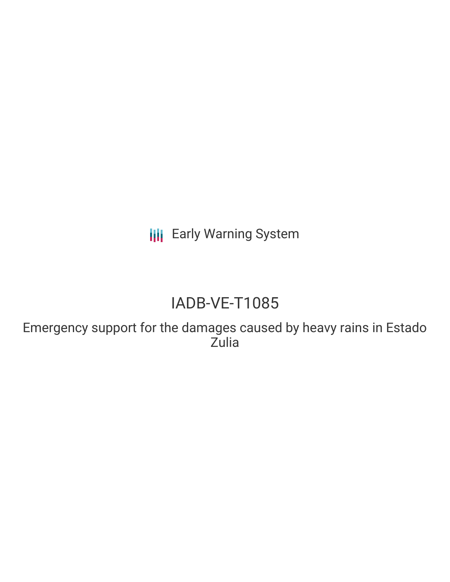**III** Early Warning System

# IADB-VE-T1085

Emergency support for the damages caused by heavy rains in Estado Zulia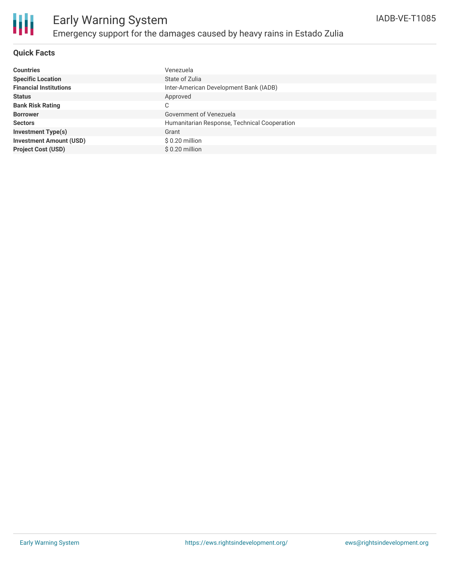

### **Quick Facts**

| <b>Countries</b>               | Venezuela                                    |
|--------------------------------|----------------------------------------------|
| <b>Specific Location</b>       | State of Zulia                               |
| <b>Financial Institutions</b>  | Inter-American Development Bank (IADB)       |
| <b>Status</b>                  | Approved                                     |
| <b>Bank Risk Rating</b>        | $\sim$<br>◡                                  |
| <b>Borrower</b>                | Government of Venezuela                      |
| <b>Sectors</b>                 | Humanitarian Response, Technical Cooperation |
| <b>Investment Type(s)</b>      | Grant                                        |
| <b>Investment Amount (USD)</b> | \$0.20 million                               |
| <b>Project Cost (USD)</b>      | $$0.20$ million                              |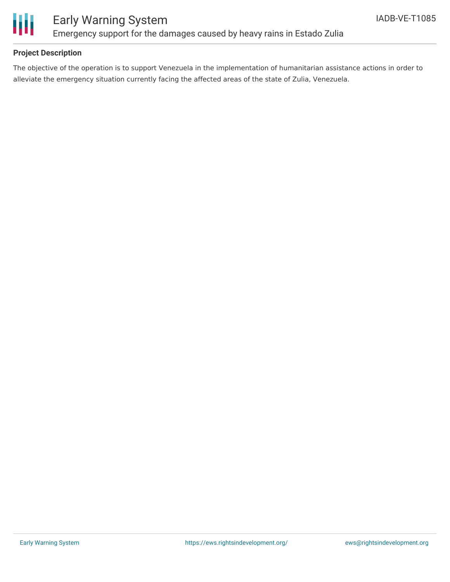

# Early Warning System Emergency support for the damages caused by heavy rains in Estado Zulia

### **Project Description**

The objective of the operation is to support Venezuela in the implementation of humanitarian assistance actions in order to alleviate the emergency situation currently facing the affected areas of the state of Zulia, Venezuela.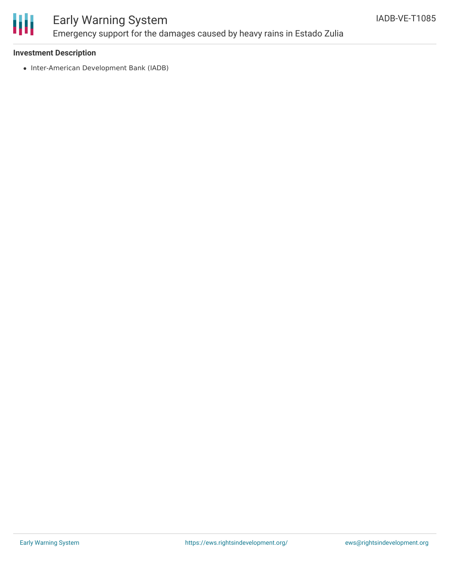

# Early Warning System Emergency support for the damages caused by heavy rains in Estado Zulia

### **Investment Description**

• Inter-American Development Bank (IADB)